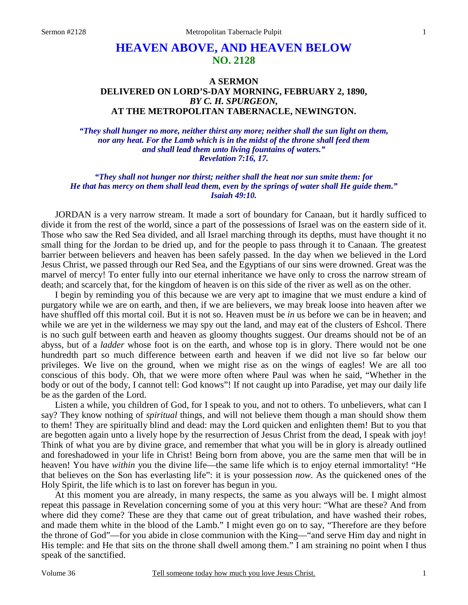# **HEAVEN ABOVE, AND HEAVEN BELOW NO. 2128**

# **A SERMON DELIVERED ON LORD'S-DAY MORNING, FEBRUARY 2, 1890,**  *BY C. H. SPURGEON,*  **AT THE METROPOLITAN TABERNACLE, NEWINGTON.**

*"They shall hunger no more, neither thirst any more; neither shall the sun light on them, nor any heat. For the Lamb which is in the midst of the throne shall feed them and shall lead them unto living fountains of waters." Revelation 7:16, 17.* 

*"They shall not hunger nor thirst; neither shall the heat nor sun smite them: for He that has mercy on them shall lead them, even by the springs of water shall He guide them." Isaiah 49:10.* 

JORDAN is a very narrow stream. It made a sort of boundary for Canaan, but it hardly sufficed to divide it from the rest of the world, since a part of the possessions of Israel was on the eastern side of it. Those who saw the Red Sea divided, and all Israel marching through its depths, must have thought it no small thing for the Jordan to be dried up, and for the people to pass through it to Canaan. The greatest barrier between believers and heaven has been safely passed. In the day when we believed in the Lord Jesus Christ, we passed through our Red Sea, and the Egyptians of our sins were drowned. Great was the marvel of mercy! To enter fully into our eternal inheritance we have only to cross the narrow stream of death; and scarcely that, for the kingdom of heaven is on this side of the river as well as on the other.

 I begin by reminding you of this because we are very apt to imagine that we must endure a kind of purgatory while we are on earth, and then, if we are believers, we may break loose into heaven after we have shuffled off this mortal coil. But it is not so. Heaven must be *in* us before we can be in heaven; and while we are yet in the wilderness we may spy out the land, and may eat of the clusters of Eshcol. There is no such gulf between earth and heaven as gloomy thoughts suggest. Our dreams should not be of an abyss, but of a *ladder* whose foot is on the earth, and whose top is in glory. There would not be one hundredth part so much difference between earth and heaven if we did not live so far below our privileges. We live on the ground, when we might rise as on the wings of eagles! We are all too conscious of this body. Oh, that we were more often where Paul was when he said, "Whether in the body or out of the body, I cannot tell: God knows"! If not caught up into Paradise, yet may our daily life be as the garden of the Lord.

 Listen a while, you children of God, for I speak to you, and not to others. To unbelievers, what can I say? They know nothing of *spiritual* things, and will not believe them though a man should show them to them! They are spiritually blind and dead: may the Lord quicken and enlighten them! But to you that are begotten again unto a lively hope by the resurrection of Jesus Christ from the dead, I speak with joy! Think of what you are by divine grace, and remember that what you will be in glory is already outlined and foreshadowed in your life in Christ! Being born from above, you are the same men that will be in heaven! You have *within* you the divine life—the same life which is to enjoy eternal immortality! "He that believes on the Son has everlasting life": it is your possession *now*. As the quickened ones of the Holy Spirit, the life which is to last on forever has begun in you.

 At this moment you are already, in many respects, the same as you always will be. I might almost repeat this passage in Revelation concerning some of you at this very hour: "What are these? And from where did they come? These are they that came out of great tribulation, and have washed their robes, and made them white in the blood of the Lamb." I might even go on to say, "Therefore are they before the throne of God"—for you abide in close communion with the King—"and serve Him day and night in His temple: and He that sits on the throne shall dwell among them." I am straining no point when I thus speak of the sanctified.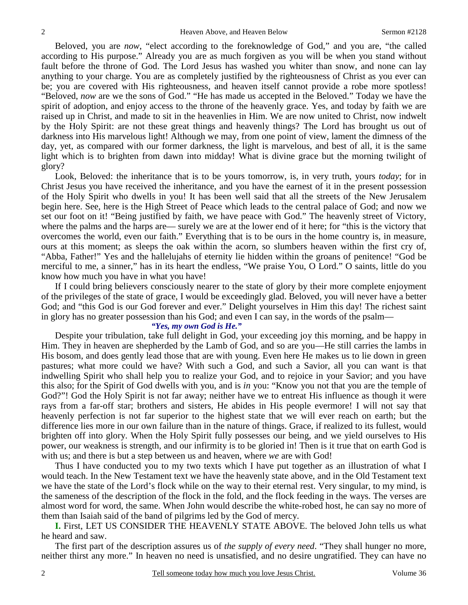Beloved, you are *now*, "elect according to the foreknowledge of God," and you are, "the called according to His purpose." Already you are as much forgiven as you will be when you stand without fault before the throne of God. The Lord Jesus has washed you whiter than snow, and none can lay anything to your charge. You are as completely justified by the righteousness of Christ as you ever can be; you are covered with His righteousness, and heaven itself cannot provide a robe more spotless! "Beloved, *now* are we the sons of God." "He has made us accepted in the Beloved." Today we have the spirit of adoption, and enjoy access to the throne of the heavenly grace. Yes, and today by faith we are raised up in Christ, and made to sit in the heavenlies in Him. We are now united to Christ, now indwelt by the Holy Spirit: are not these great things and heavenly things? The Lord has brought us out of darkness into His marvelous light! Although we may, from one point of view, lament the dimness of the day, yet, as compared with our former darkness, the light is marvelous, and best of all, it is the same light which is to brighten from dawn into midday! What is divine grace but the morning twilight of glory?

 Look, Beloved: the inheritance that is to be yours tomorrow, is, in very truth, yours *today*; for in Christ Jesus you have received the inheritance, and you have the earnest of it in the present possession of the Holy Spirit who dwells in you! It has been well said that all the streets of the New Jerusalem begin here. See, here is the High Street of Peace which leads to the central palace of God; and now we set our foot on it! "Being justified by faith, we have peace with God." The heavenly street of Victory, where the palms and the harps are— surely we are at the lower end of it here; for "this is the victory that overcomes the world, even our faith." Everything that is to be ours in the home country is, in measure, ours at this moment; as sleeps the oak within the acorn, so slumbers heaven within the first cry of, "Abba, Father!" Yes and the hallelujahs of eternity lie hidden within the groans of penitence! "God be merciful to me, a sinner," has in its heart the endless, "We praise You, O Lord." O saints, little do you know how much you have in what you have!

 If I could bring believers consciously nearer to the state of glory by their more complete enjoyment of the privileges of the state of grace, I would be exceedingly glad. Beloved, you will never have a better God; and "this God is our God forever and ever." Delight yourselves in Him this day! The richest saint in glory has no greater possession than his God; and even I can say, in the words of the psalm—

### *"Yes, my own God is He."*

Despite your tribulation, take full delight in God, your exceeding joy this morning, and be happy in Him. They in heaven are shepherded by the Lamb of God, and so are you—He still carries the lambs in His bosom, and does gently lead those that are with young. Even here He makes us to lie down in green pastures; what more could we have? With such a God, and such a Savior, all you can want is that indwelling Spirit who shall help you to realize your God, and to rejoice in your Savior; and you have this also; for the Spirit of God dwells with you, and is *in* you: "Know you not that you are the temple of God?"! God the Holy Spirit is not far away; neither have we to entreat His influence as though it were rays from a far-off star; brothers and sisters, He abides in His people evermore! I will not say that heavenly perfection is not far superior to the highest state that we will ever reach on earth; but the difference lies more in our own failure than in the nature of things. Grace, if realized to its fullest, would brighten off into glory. When the Holy Spirit fully possesses our being, and we yield ourselves to His power, our weakness is strength, and our infirmity is to be gloried in! Then is it true that on earth God is with us; and there is but a step between us and heaven, where *we* are with God!

 Thus I have conducted you to my two texts which I have put together as an illustration of what I would teach. In the New Testament text we have the heavenly state above, and in the Old Testament text we have the state of the Lord's flock while on the way to their eternal rest. Very singular, to my mind, is the sameness of the description of the flock in the fold, and the flock feeding in the ways. The verses are almost word for word, the same. When John would describe the white-robed host, he can say no more of them than Isaiah said of the band of pilgrims led by the God of mercy.

**I.** First, LET US CONSIDER THE HEAVENLY STATE ABOVE. The beloved John tells us what he heard and saw.

 The first part of the description assures us of *the supply of every need*. "They shall hunger no more, neither thirst any more." In heaven no need is unsatisfied, and no desire ungratified. They can have no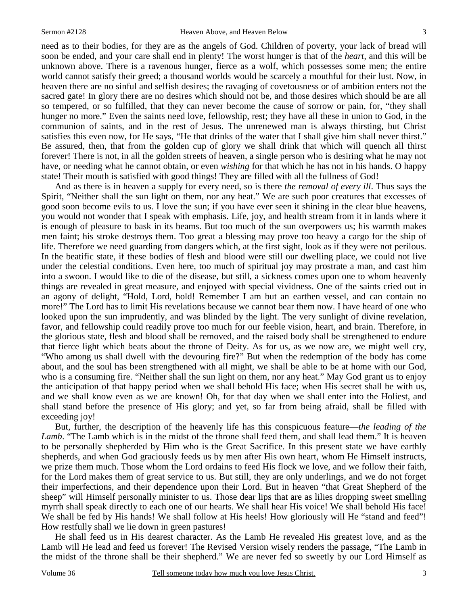need as to their bodies, for they are as the angels of God. Children of poverty, your lack of bread will soon be ended, and your care shall end in plenty! The worst hunger is that of the *heart,* and this will be unknown above. There is a ravenous hunger, fierce as a wolf, which possesses some men; the entire world cannot satisfy their greed; a thousand worlds would be scarcely a mouthful for their lust. Now, in heaven there are no sinful and selfish desires; the ravaging of covetousness or of ambition enters not the sacred gate! In glory there are no desires which should not be, and those desires which should be are all so tempered, or so fulfilled, that they can never become the cause of sorrow or pain, for, "they shall hunger no more." Even the saints need love, fellowship, rest; they have all these in union to God, in the communion of saints, and in the rest of Jesus. The unrenewed man is always thirsting, but Christ satisfies this even now, for He says, "He that drinks of the water that I shall give him shall never thirst." Be assured, then, that from the golden cup of glory we shall drink that which will quench all thirst forever! There is not, in all the golden streets of heaven, a single person who is desiring what he may not have, or needing what he cannot obtain, or even *wishing* for that which he has not in his hands. O happy state! Their mouth is satisfied with good things! They are filled with all the fullness of God!

 And as there is in heaven a supply for every need, so is there *the removal of every ill*. Thus says the Spirit, "Neither shall the sun light on them, nor any heat." We are such poor creatures that excesses of good soon become evils to us. I love the sun; if you have ever seen it shining in the clear blue heavens, you would not wonder that I speak with emphasis. Life, joy, and health stream from it in lands where it is enough of pleasure to bask in its beams. But too much of the sun overpowers us; his warmth makes men faint; his stroke destroys them. Too great a blessing may prove too heavy a cargo for the ship of life. Therefore we need guarding from dangers which, at the first sight, look as if they were not perilous. In the beatific state, if these bodies of flesh and blood were still our dwelling place, we could not live under the celestial conditions. Even here, too much of spiritual joy may prostrate a man, and cast him into a swoon. I would like to die of the disease, but still, a sickness comes upon one to whom heavenly things are revealed in great measure, and enjoyed with special vividness. One of the saints cried out in an agony of delight, "Hold, Lord, hold! Remember I am but an earthen vessel, and can contain no more!" The Lord has to limit His revelations because we cannot bear them now. I have heard of one who looked upon the sun imprudently, and was blinded by the light. The very sunlight of divine revelation, favor, and fellowship could readily prove too much for our feeble vision, heart, and brain. Therefore, in the glorious state, flesh and blood shall be removed, and the raised body shall be strengthened to endure that fierce light which beats about the throne of Deity. As for us, as we now are, we might well cry, "Who among us shall dwell with the devouring fire?" But when the redemption of the body has come about, and the soul has been strengthened with all might, we shall be able to be at home with our God, who is a consuming fire. "Neither shall the sun light on them, nor any heat." May God grant us to enjoy the anticipation of that happy period when we shall behold His face; when His secret shall be with us, and we shall know even as we are known! Oh, for that day when we shall enter into the Holiest, and shall stand before the presence of His glory; and yet, so far from being afraid, shall be filled with exceeding joy!

 But, further, the description of the heavenly life has this conspicuous feature—*the leading of the Lamb*. "The Lamb which is in the midst of the throne shall feed them, and shall lead them." It is heaven to be personally shepherded by Him who is the Great Sacrifice. In this present state we have earthly shepherds, and when God graciously feeds us by men after His own heart, whom He Himself instructs, we prize them much. Those whom the Lord ordains to feed His flock we love, and we follow their faith, for the Lord makes them of great service to us. But still, they are only underlings, and we do not forget their imperfections, and their dependence upon their Lord. But in heaven "that Great Shepherd of the sheep" will Himself personally minister to us. Those dear lips that are as lilies dropping sweet smelling myrrh shall speak directly to each one of our hearts. We shall hear His voice! We shall behold His face! We shall be fed by His hands! We shall follow at His heels! How gloriously will He "stand and feed"! How restfully shall we lie down in green pastures!

 He shall feed us in His dearest character. As the Lamb He revealed His greatest love, and as the Lamb will He lead and feed us forever! The Revised Version wisely renders the passage, "The Lamb in the midst of the throne shall be their shepherd." We are never fed so sweetly by our Lord Himself as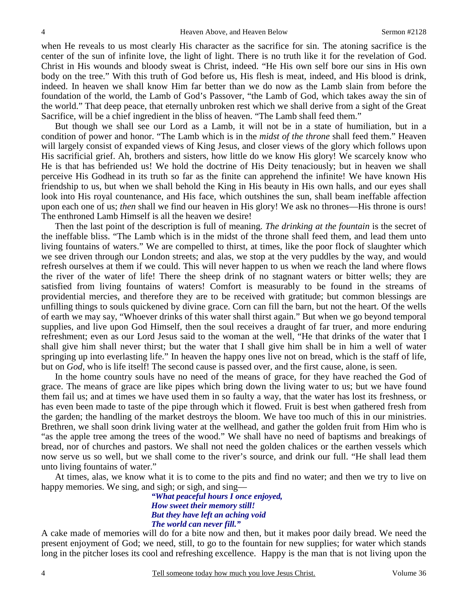when He reveals to us most clearly His character as the sacrifice for sin. The atoning sacrifice is the center of the sun of infinite love, the light of light. There is no truth like it for the revelation of God. Christ in His wounds and bloody sweat is Christ, indeed. "He His own self bore our sins in His own body on the tree." With this truth of God before us, His flesh is meat, indeed, and His blood is drink, indeed. In heaven we shall know Him far better than we do now as the Lamb slain from before the foundation of the world, the Lamb of God's Passover, "the Lamb of God, which takes away the sin of the world." That deep peace, that eternally unbroken rest which we shall derive from a sight of the Great Sacrifice, will be a chief ingredient in the bliss of heaven. "The Lamb shall feed them."

 But though we shall see our Lord as a Lamb, it will not be in a state of humiliation, but in a condition of power and honor. "The Lamb which is in the *midst of the throne* shall feed them." Heaven will largely consist of expanded views of King Jesus, and closer views of the glory which follows upon His sacrificial grief. Ah, brothers and sisters, how little do we know His glory! We scarcely know who He is that has befriended us! We hold the doctrine of His Deity tenaciously; but in heaven we shall perceive His Godhead in its truth so far as the finite can apprehend the infinite! We have known His friendship to us, but when we shall behold the King in His beauty in His own halls, and our eyes shall look into His royal countenance, and His face, which outshines the sun, shall beam ineffable affection upon each one of us; *then* shall we find our heaven in His glory! We ask no thrones—His throne is ours! The enthroned Lamb Himself is all the heaven we desire!

 Then the last point of the description is full of meaning. *The drinking at the fountain* is the secret of the ineffable bliss. "The Lamb which is in the midst of the throne shall feed them, and lead them unto living fountains of waters." We are compelled to thirst, at times, like the poor flock of slaughter which we see driven through our London streets; and alas, we stop at the very puddles by the way, and would refresh ourselves at them if we could. This will never happen to us when we reach the land where flows the river of the water of life! There the sheep drink of no stagnant waters or bitter wells; they are satisfied from living fountains of waters! Comfort is measurably to be found in the streams of providential mercies, and therefore they are to be received with gratitude; but common blessings are unfilling things to souls quickened by divine grace. Corn can fill the barn, but not the heart. Of the wells of earth we may say, "Whoever drinks of this water shall thirst again." But when we go beyond temporal supplies, and live upon God Himself, then the soul receives a draught of far truer, and more enduring refreshment; even as our Lord Jesus said to the woman at the well, "He that drinks of the water that I shall give him shall never thirst; but the water that I shall give him shall be in him a well of water springing up into everlasting life." In heaven the happy ones live not on bread, which is the staff of life, but on *God,* who is life itself! The second cause is passed over, and the first cause, alone, is seen.

 In the home country souls have no need of the means of grace, for they have reached the God of grace. The means of grace are like pipes which bring down the living water to us; but we have found them fail us; and at times we have used them in so faulty a way, that the water has lost its freshness, or has even been made to taste of the pipe through which it flowed. Fruit is best when gathered fresh from the garden; the handling of the market destroys the bloom. We have too much of this in our ministries. Brethren, we shall soon drink living water at the wellhead, and gather the golden fruit from Him who is "as the apple tree among the trees of the wood." We shall have no need of baptisms and breakings of bread, nor of churches and pastors. We shall not need the golden chalices or the earthen vessels which now serve us so well, but we shall come to the river's source, and drink our full. "He shall lead them unto living fountains of water."

 At times, alas, we know what it is to come to the pits and find no water; and then we try to live on happy memories. We sing, and sigh; or sigh, and sing—

> *"What peaceful hours I once enjoyed, How sweet their memory still! But they have left an aching void The world can never fill."*

A cake made of memories will do for a bite now and then, but it makes poor daily bread. We need the present enjoyment of God; we need, still, to go to the fountain for new supplies; for water which stands long in the pitcher loses its cool and refreshing excellence. Happy is the man that is not living upon the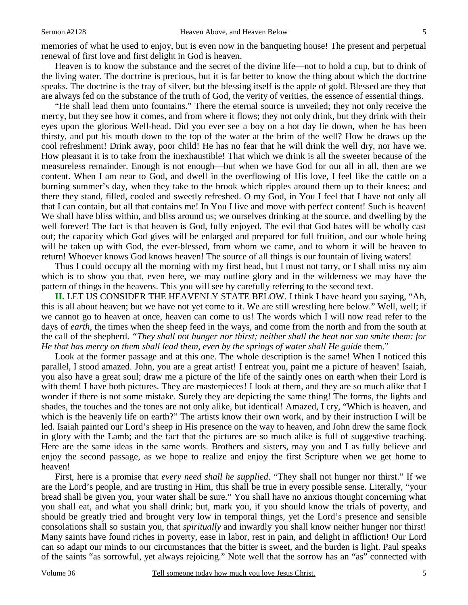memories of what he used to enjoy, but is even now in the banqueting house! The present and perpetual renewal of first love and first delight in God is heaven.

 Heaven is to know the substance and the secret of the divine life—not to hold a cup, but to drink of the living water. The doctrine is precious, but it is far better to know the thing about which the doctrine speaks. The doctrine is the tray of silver, but the blessing itself is the apple of gold. Blessed are they that are always fed on the substance of the truth of God, the verity of verities, the essence of essential things.

 "He shall lead them unto fountains." There the eternal source is unveiled; they not only receive the mercy, but they see how it comes, and from where it flows; they not only drink, but they drink with their eyes upon the glorious Well-head. Did you ever see a boy on a hot day lie down, when he has been thirsty, and put his mouth down to the top of the water at the brim of the well? How he draws up the cool refreshment! Drink away, poor child! He has no fear that he will drink the well dry, nor have we. How pleasant it is to take from the inexhaustible! That which we drink is all the sweeter because of the measureless remainder. Enough is not enough—but when we have God for our all in all, then are we content. When I am near to God, and dwell in the overflowing of His love, I feel like the cattle on a burning summer's day, when they take to the brook which ripples around them up to their knees; and there they stand, filled, cooled and sweetly refreshed. O my God, in You I feel that I have not only all that I can contain, but all that contains me! In You I live and move with perfect content! Such is heaven! We shall have bliss within, and bliss around us; we ourselves drinking at the source, and dwelling by the well forever! The fact is that heaven is God, fully enjoyed. The evil that God hates will be wholly cast out; the capacity which God gives will be enlarged and prepared for full fruition, and our whole being will be taken up with God, the ever-blessed, from whom we came, and to whom it will be heaven to return! Whoever knows God knows heaven! The source of all things is our fountain of living waters!

 Thus I could occupy all the morning with my first head, but I must not tarry, or I shall miss my aim which is to show you that, even here, we may outline glory and in the wilderness we may have the pattern of things in the heavens. This you will see by carefully referring to the second text.

**II.** LET US CONSIDER THE HEAVENLY STATE BELOW. I think I have heard you saying, "Ah, this is all about heaven; but we have not yet come to it. We are still wrestling here below." Well, well; if we cannot go to heaven at once, heaven can come to us! The words which I will now read refer to the days of *earth,* the times when the sheep feed in the ways, and come from the north and from the south at the call of the shepherd. *"They shall not hunger nor thirst; neither shall the heat nor sun smite them: for He that has mercy on them shall lead them, even by the springs of water shall He guide them.*"

 Look at the former passage and at this one. The whole description is the same! When I noticed this parallel, I stood amazed. John, you are a great artist! I entreat you, paint me a picture of heaven! Isaiah, you also have a great soul; draw me a picture of the life of the saintly ones on earth when their Lord is with them! I have both pictures. They are masterpieces! I look at them, and they are so much alike that I wonder if there is not some mistake. Surely they are depicting the same thing! The forms, the lights and shades, the touches and the tones are not only alike, but identical! Amazed, I cry, "Which is heaven, and which is the heavenly life on earth?" The artists know their own work, and by their instruction I will be led. Isaiah painted our Lord's sheep in His presence on the way to heaven, and John drew the same flock in glory with the Lamb; and the fact that the pictures are so much alike is full of suggestive teaching. Here are the same ideas in the same words. Brothers and sisters, may you and I as fully believe and enjoy the second passage, as we hope to realize and enjoy the first Scripture when we get home to heaven!

 First, here is a promise that *every need shall he supplied*. "They shall not hunger nor thirst." If we are the Lord's people, and are trusting in Him, this shall be true in every possible sense. Literally, "your bread shall be given you, your water shall be sure." You shall have no anxious thought concerning what you shall eat, and what you shall drink; but, mark you, if you should know the trials of poverty, and should be greatly tried and brought very low in temporal things, yet the Lord's presence and sensible consolations shall so sustain you, that *spiritually* and inwardly you shall know neither hunger nor thirst! Many saints have found riches in poverty, ease in labor, rest in pain, and delight in affliction! Our Lord can so adapt our minds to our circumstances that the bitter is sweet, and the burden is light. Paul speaks of the saints "as sorrowful, yet always rejoicing." Note well that the sorrow has an "as" connected with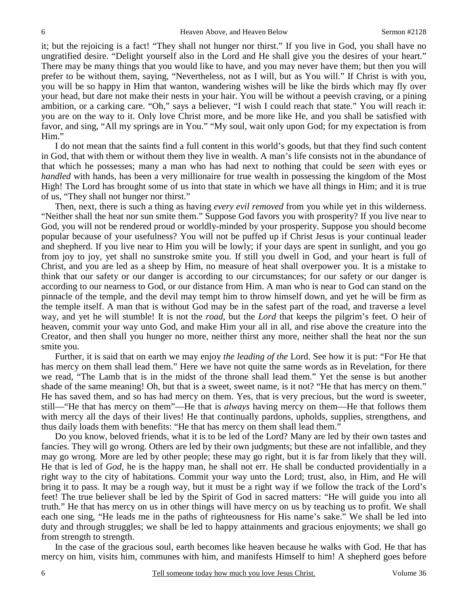it; but the rejoicing is a fact! "They shall not hunger nor thirst." If you live in God, you shall have no ungratified desire. "Delight yourself also in the Lord and He shall give you the desires of your heart." There may be many things that you would like to have, and you may never have them; but then you will prefer to be without them, saying, "Nevertheless, not as I will, but as You will." If Christ is with you, you will be so happy in Him that wanton, wandering wishes will be like the birds which may fly over your head, but dare not make their nests in your hair. You will be without a peevish craving, or a pining ambition, or a carking care. "Oh," says a believer, "I wish I could reach that state." You will reach it: you are on the way to it. Only love Christ more, and be more like He, and you shall be satisfied with favor, and sing, "All my springs are in You." "My soul, wait only upon God; for my expectation is from Him."

 I do not mean that the saints find a full content in this world's goods, but that they find such content in God, that with them or without them they live in wealth. A man's life consists not in the abundance of that which he possesses; many a man who has had next to nothing that could be *seen* with eyes or *handled* with hands, has been a very millionaire for true wealth in possessing the kingdom of the Most High! The Lord has brought some of us into that state in which we have all things in Him; and it is true of us, "They shall not hunger nor thirst."

 Then, next, there is such a thing as having *every evil removed* from you while yet in this wilderness. "Neither shall the heat nor sun smite them." Suppose God favors you with prosperity? If you live near to God, you will not be rendered proud or worldly-minded by your prosperity. Suppose you should become popular because of your usefulness? You will not be puffed up if Christ Jesus is your continual leader and shepherd. If you live near to Him you will be lowly; if your days are spent in sunlight, and you go from joy to joy, yet shall no sunstroke smite you. If still you dwell in God, and your heart is full of Christ, and you are led as a sheep by Him, no measure of heat shall overpower you. It is a mistake to think that our safety or our danger is according to our circumstances; for our safety or our danger is according to our nearness to God, or our distance from Him. A man who is near to God can stand on the pinnacle of the temple, and the devil may tempt him to throw himself down, and yet he will be firm as the temple itself. A man that is without God may be in the safest part of the road, and traverse a level way, and yet he will stumble! It is not the *road,* but the *Lord* that keeps the pilgrim's feet. O heir of heaven, commit your way unto God, and make Him your all in all, and rise above the creature into the Creator, and then shall you hunger no more, neither thirst any more, neither shall the heat nor the sun smite you.

 Further, it is said that on earth we may enjoy *the leading of the* Lord. See how it is put: "For He that has mercy on them shall lead them." Here we have not quite the same words as in Revelation, for there we read, "The Lamb that is in the midst of the throne shall lead them." Yet the sense is but another shade of the same meaning! Oh, but that is a sweet, sweet name, is it not? "He that has mercy on them." He has saved them, and so has had mercy on them. Yes, that is very precious, but the word is sweeter, still—"He that has mercy on them"—He that is *always* having mercy on them—He that follows them with mercy all the days of their lives! He that continually pardons, upholds, supplies, strengthens, and thus daily loads them with benefits: "He that has mercy on them shall lead them."

 Do you know, beloved friends, what it is to be led of the Lord? Many are led by their own tastes and fancies. They will go wrong. Others are led by their own judgments; but these are not infallible, and they may go wrong. More are led by other people; these may go right, but it is far from likely that they will. He that is led of *God*, he is the happy man, he shall not err. He shall be conducted providentially in a right way to the city of habitations. Commit your way unto the Lord; trust, also, in Him, and He will bring it to pass. It may be a rough way, but it must be a right way if we follow the track of the Lord's feet! The true believer shall be led by the Spirit of God in sacred matters: "He will guide you into all truth." He that has mercy on us in other things will have mercy on us by teaching us to profit. We shall each one sing, "He leads me in the paths of righteousness for His name's sake." We shall be led into duty and through struggles; we shall be led to happy attainments and gracious enjoyments; we shall go from strength to strength.

 In the case of the gracious soul, earth becomes like heaven because he walks with God. He that has mercy on him, visits him, communes with him, and manifests Himself to him! A shepherd goes before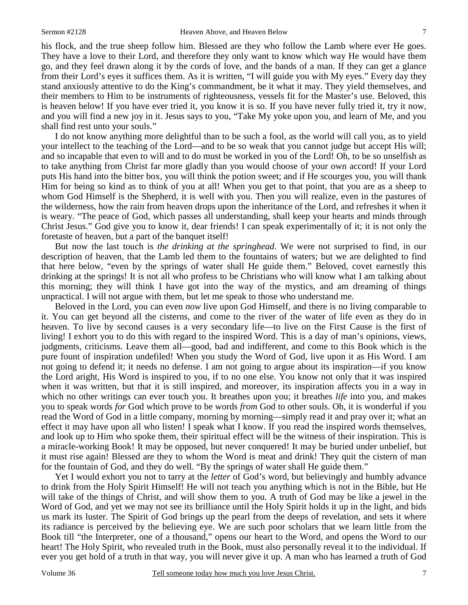his flock, and the true sheep follow him. Blessed are they who follow the Lamb where ever He goes. They have a love to their Lord, and therefore they only want to know which way He would have them go, and they feel drawn along it by the cords of love, and the bands of a man. If they can get a glance from their Lord's eyes it suffices them. As it is written, "I will guide you with My eyes." Every day they stand anxiously attentive to do the King's commandment, be it what it may. They yield themselves, and their members to Him to be instruments of righteousness, vessels fit for the Master's use. Beloved, this is heaven below! If you have ever tried it, you know it is so. If you have never fully tried it, try it now, and you will find a new joy in it. Jesus says to you, "Take My yoke upon you, and learn of Me, and you shall find rest unto your souls."

 I do not know anything more delightful than to be such a fool, as the world will call you, as to yield your intellect to the teaching of the Lord—and to be so weak that you cannot judge but accept His will; and so incapable that even to will and to do must be worked in you of the Lord! Oh, to be so unselfish as to take anything from Christ far more gladly than you would choose of your own accord! If your Lord puts His hand into the bitter box, you will think the potion sweet; and if He scourges you, you will thank Him for being so kind as to think of you at all! When you get to that point, that you are as a sheep to whom God Himself is the Shepherd, it is well with you. Then you will realize, even in the pastures of the wilderness, how the rain from heaven drops upon the inheritance of the Lord, and refreshes it when it is weary. "The peace of God, which passes all understanding, shall keep your hearts and minds through Christ Jesus." God give you to know it, dear friends! I can speak experimentally of it; it is not only the foretaste of heaven, but a part of the banquet itself!

 But now the last touch is *the drinking at the springhead*. We were not surprised to find, in our description of heaven, that the Lamb led them to the fountains of waters; but we are delighted to find that here below, "even by the springs of water shall He guide them." Beloved, covet earnestly this drinking at the springs! It is not all who profess to be Christians who will know what I am talking about this morning; they will think I have got into the way of the mystics, and am dreaming of things unpractical. I will not argue with them, but let me speak to those who understand me.

 Beloved in the Lord, you can even *now* live upon God Himself, and there is no living comparable to it. You can get beyond all the cisterns, and come to the river of the water of life even as they do in heaven. To live by second causes is a very secondary life—to live on the First Cause is the first of living! I exhort you to do this with regard to the inspired Word. This is a day of man's opinions, views, judgments, criticisms. Leave them all—good, bad and indifferent, and come to this Book which is the pure fount of inspiration undefiled! When you study the Word of God, live upon it as His Word. I am not going to defend it; it needs no defense. I am not going to argue about its inspiration—if you know the Lord aright, His Word is inspired to you, if to no one else. You know not only that it was inspired when it was written, but that it is still inspired, and moreover, its inspiration affects you in a way in which no other writings can ever touch you. It breathes upon you; it breathes *life* into you, and makes you to speak words *for* God which prove to be words *from* God to other souls. Oh, it is wonderful if you read the Word of God in a little company, morning by morning—simply read it and pray over it; what an effect it may have upon all who listen! I speak what I know. If you read the inspired words themselves, and look up to Him who spoke them, their spiritual effect will be the witness of their inspiration. This is a miracle-working Book! It may be opposed, but never conquered! It may be buried under unbelief, but it must rise again! Blessed are they to whom the Word is meat and drink! They quit the cistern of man for the fountain of God, and they do well. "By the springs of water shall He guide them."

 Yet I would exhort you not to tarry at the *letter* of God's word, but believingly and humbly advance to drink from the Holy Spirit Himself! He will not teach you anything which is not in the Bible, but He will take of the things of Christ, and will show them to you. A truth of God may be like a jewel in the Word of God, and yet we may not see its brilliance until the Holy Spirit holds it up in the light, and bids us mark its luster. The Spirit of God brings up the pearl from the deeps of revelation, and sets it where its radiance is perceived by the believing eye. We are such poor scholars that we learn little from the Book till "the Interpreter, one of a thousand," opens our heart to the Word, and opens the Word to our heart! The Holy Spirit, who revealed truth in the Book, must also personally reveal it to the individual. If ever you get hold of a truth in that way, you will never give it up. A man who has learned a truth of God